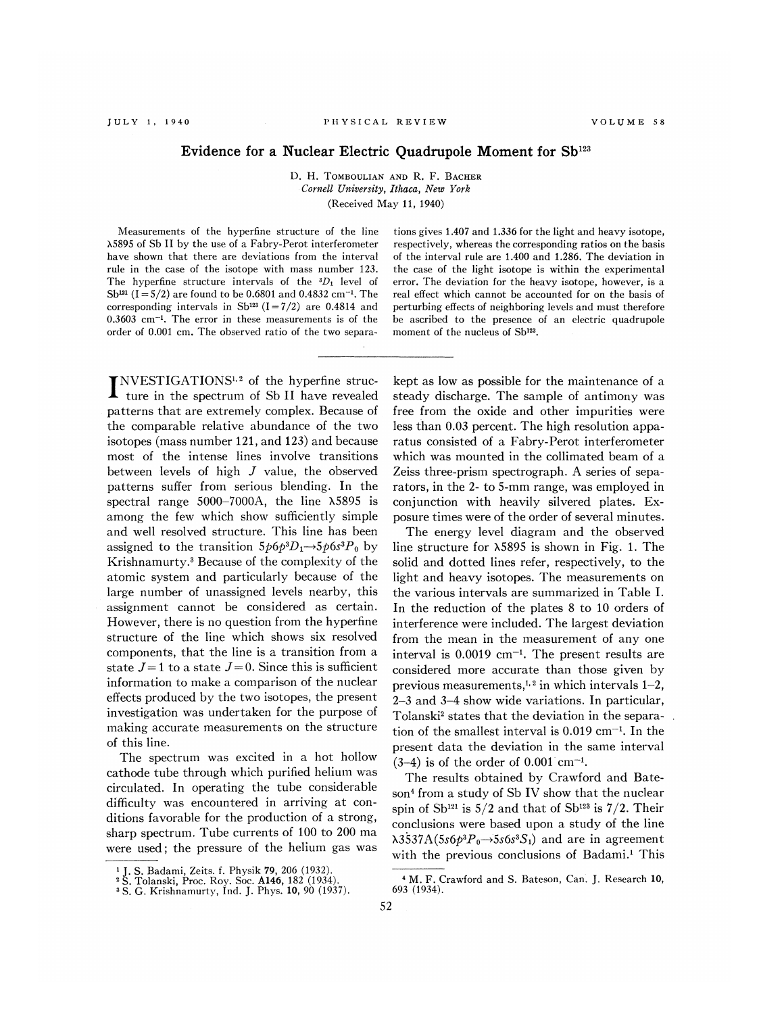## Evidence for a Nuclear Electric Quadrupole Moment for  $Sb^{123}$

D. H. TOMBOULIAN AND R. F. BACHER Cornell University, Ithaca, New York (Received May 11, 1940)

Measurements of the hyperfine structure of the line X5895 of Sb II by the use of a Fabry-Perot interferometer have shown that there are deviations from the interval rule in the case of the isotope with mass number 123. The hyperfine structure intervals of the  ${}^{3}D_1$  level of Sb<sup>121</sup> (I = 5/2) are found to be 0.6801 and 0.4832 cm<sup>-1</sup>. The corresponding intervals in Sb<sup>123</sup> (I=7/2) are 0.4814 and  $0.3603$  cm<sup>-1</sup>. The error in these measurements is of the order of 0.001 cm. The observed ratio of the two separa-

[NVESTIGATIONS<sup>1,2</sup> of the hyperfine struc- $\blacksquare$  ture in the spectrum of Sb II have revealed patterns that are extremely complex. Because of the comparable relative abundance of the two isotopes (mass number  $121$ , and  $123$ ) and because most of the intense lines involve transitions between levels of high J value, the observed patterns suffer from serious blending. In the spectral range  $5000-7000$ A, the line  $\lambda$ 5895 is among the few which show sufficiently simple and well resolved structure. This line has been assigned to the transition  $5p6p^3D_1 \rightarrow 5p6s^3P_0$  by Krishnamurty. ' Because of the complexity of the atomic system and particularly because of the large number of unassigned levels nearby, this assignment cannot be considered as certain. However, there is no question from the hyperfine structure of the line which shows six resolved components, that the line is a transition from a state  $J=1$  to a state  $J=0$ . Since this is sufficient information to make a comparison of the nuclear effects produced by the two isotopes, the present investigation was undertaken for the purpose of making accurate measurements on the structure of this line.

The spectrum was excited in a hot hollow cathode tube through which purified helium was circulated. In operating the tube considerable difficulty was encountered in arriving at conditions favorable for the production of a strong, sharp spectrum. Tube currents of 100 to 200 ma were used; the pressure of the helium gas was

tions gives 1.407 and 1.336 for the light and heavy isotope, respectively, whereas the corresponding ratios on the basis of the interval rule are 1.400 and 1.286. The deviation in the case of the light isotope is within the experimental error. The deviation for the heavy isotope, however, is a real effect which cannot be accounted for on the basis of perturbing effects of neighboring levels and must therefore be ascribed to the presence of an electric quadrupole moment of the nucleus of Sb<sup>123</sup>.

kept as low as possible for the maintenance of a steady discharge. The sample of antimony was free from the oxide and other impurities were less than 0.03 percent. The high resolution apparatus consisted of a Fabry-Perot interferometer which was mounted in the collimated beam of a Zeiss three-prism spectrograph. A series of separators, in the 2- to 5-mm range, was employed in conjunction with heavily silvered plates. Exposure times were of the order of several minutes.

The energy level diagram and the observed line structure for  $\lambda$ 5895 is shown in Fig. 1. The solid and dotted lines refer, respectively, to the light and heavy isotopes. The measurements on the various intervals are summarized in Table I. In the reduction of the plates 8 to 10 orders of interference were included. The largest deviation from the mean in the measurement of any one interval is  $0.0019$  cm<sup>-1</sup>. The present results are considered more accurate than those given by previous measurements,<sup>1,2</sup> in which intervals  $1-2$ , <sup>2</sup>—3 and 3—4 show wide variations. In particular, Tolanski' states that the deviation in the separation of the smallest interval is  $0.019$  cm<sup>-1</sup>. In the present data the deviation in the same interval  $(3-4)$  is of the order of 0.001 cm<sup>-1</sup>.

The results obtained by Crawford and Bateson<sup>4</sup> from a study of Sb IV show that the nuclear spin of  $\text{Sb}^{121}$  is 5/2 and that of  $\text{Sb}^{123}$  is 7/2. Their conclusions were based upon a study of the line  $\lambda$ 3537A(5s6p<sup>3</sup>P<sub>0</sub> $\rightarrow$ 5s6s<sup>3</sup>S<sub>1</sub>) and are in agreement with the previous conclusions of Badami.<sup>1</sup> This

<sup>&</sup>lt;sup>1</sup> J. S. Badami, Zeits. f. Physik 79, 206 (1932).

<sup>&</sup>lt;sup>2</sup> S. Tolanski, Proc. Roy. Soc. **A146**, 182 (1934).<br><sup>3</sup> S. G. Krishnamurty, Ind. J. Phys. **10**, 90 (1937).

<sup>&</sup>lt;sup>4</sup> M. F. Crawford and S. Bateson, Can. J. Research 10, 693 (1934).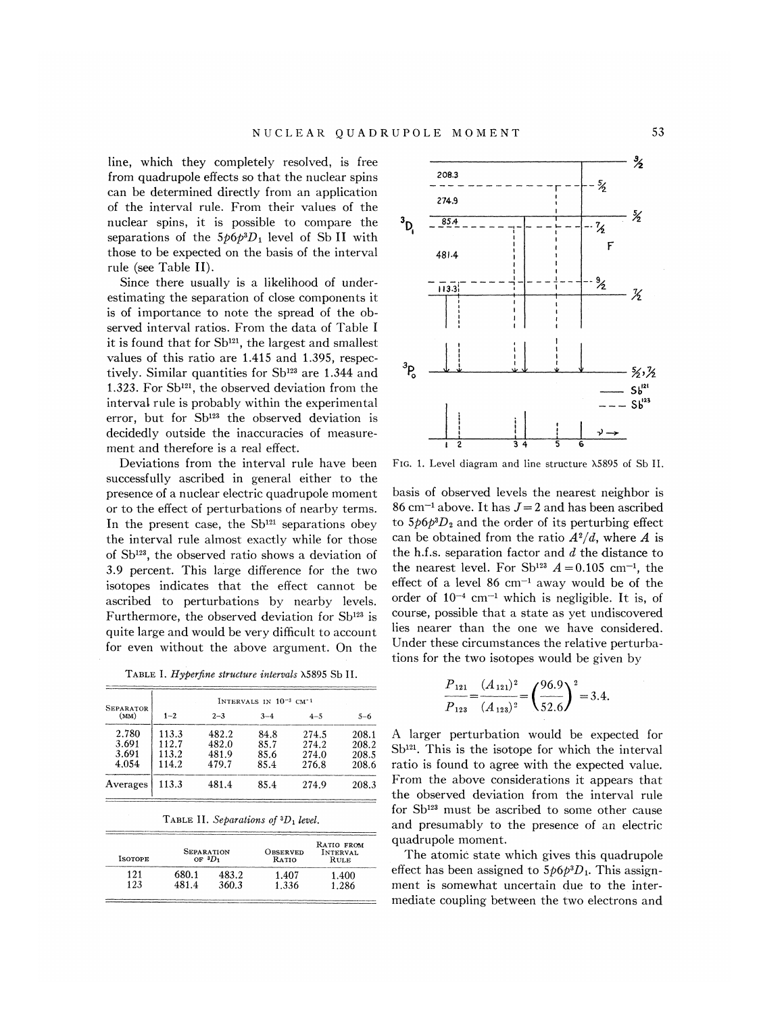line, which they completely resolved, is free from quadrupole effects so that the nuclear spins can be determined directly from an application of the interval rule. From their values of the nuclear spins, it is possible to compare the separations of the  $5p6p^3D_1$  level of Sb II with those to be expected on the basis of the interval rule (see Table II).

Since there usually is a likelihood of underestimating the separation of close components it is of importance to note the spread of the observed interval ratios. From the data of Table I it is found that for  $Sb^{121}$ , the largest and smallest values of this ratio are 1.415 and 1.395, respectively. Similar quantities for Sb<sup>123</sup> are 1.344 and 1.323. For Sb<sup>121</sup>, the observed deviation from the interval rule is probably within the experimental error, but for Sb<sup>123</sup> the observed deviation is decidedly outside the inaccuracies of measurement and therefore is a real effect.

Deviations from the interval rule have been successfully ascribed in general either to the presence of a nuclear electric quadrupole moment or to the effect of perturbations of nearby terms. In the present case, the  $Sb^{121}$  separations obey the interval rule almost exactly while for those of  $Sb^{123}$ , the observed ratio shows a deviation of 3.9 percent. This large difference for the two isotopes indicates that the effect cannot be ascribed to perturbations by nearby levels. Furthermore, the observed deviation for  $Sb^{123}$  is quite large and would be very difficult to account for even without the above argument. On the

TABLE I. Hyperfine structure intervals  $\lambda$ 5895 Sb II.

| SEPARATOR<br>(MM) | INTERVALS IN 10 <sup>-3</sup> CM <sup>-1</sup> |         |         |         |       |  |  |
|-------------------|------------------------------------------------|---------|---------|---------|-------|--|--|
|                   | $1 - 2$                                        | $2 - 3$ | $3 - 4$ | $4 - 5$ | 5-6   |  |  |
| 2.780             | 113.3                                          | 482.2   | 84.8    | 274.5   | 208.1 |  |  |
| 3.691             | 112.7                                          | 482.0   | 85.7    | 274.2   | 208.2 |  |  |
| 3.691             | 113.2                                          | 481.9   | 85.6    | 274.0   | 208.5 |  |  |
| 4.054             | 114.2                                          | 479.7   | 85.4    | 276.8   | 208.6 |  |  |
| Averages          | 113.3                                          | 481.4   | 85.4    | 274.9   | 208.3 |  |  |

TABLE II. Separations of  ${}^3D_1$  level.

| <b>ISOTOPE</b> | SEPARATION<br>OF $^3D_1$ |       | OBSERVED<br>RATIO | RATIO FROM<br>INTERVAL<br>Rule |  |
|----------------|--------------------------|-------|-------------------|--------------------------------|--|
| 121            | 580.1                    | 483.2 | 1.407             | 1.400                          |  |
| 123            | 4814                     | 360.3 | 1.336             | .286                           |  |



FIG. 1. Level diagram and line structure X5895 of Sb II.

basis of observed levels the nearest neighbor is 86 cm<sup>-1</sup> above. It has  $J=2$  and has been ascribed to  $5p6p^{3}D_{2}$  and the order of its perturbing effect can be obtained from the ratio  $A^2/d$ , where A is the h.f.s. separation factor and  $d$  the distance to the nearest level. For Sb<sup>123</sup>  $A = 0.105$  cm<sup>-1</sup>, the effect of a level  $86 \text{ cm}^{-1}$  away would be of the order of  $10^{-4}$  cm<sup>-1</sup> which is negligible. It is, of course, possible that a state as yet undiscovered lies nearer than the one we have considered. Under these circumstances the relative perturbations for the two isotopes would be given by

$$
\frac{P_{121}}{P_{123}} = \frac{(A_{121})^2}{(A_{123})^2} = \left(\frac{96.9}{52.6}\right)^2 = 3.4.
$$

A larger perturbation would be expected for  $Sb<sup>121</sup>$ . This is the isotope for which the interval ratio is found to agree with the expected value. From the above considerations it appears that the observed deviation from the interval rule for Sb<sup>123</sup> must be ascribed to some other cause and presumably to the presence of an electric quadrupole moment.

The atomic state which gives this quadrupole effect has been assigned to  $5p6p^3D_1$ . This assignment is somewhat uncertain due to the intermediate coupling between the two electrons and